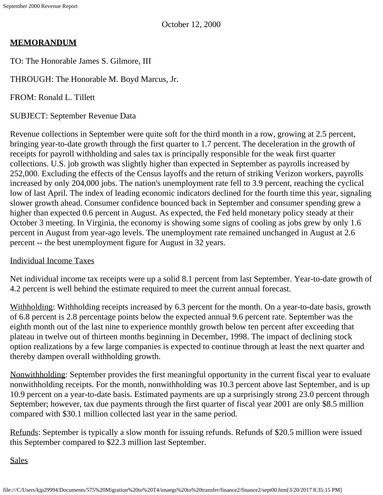October 12, 2000

# **MEMORANDUM**

TO: The Honorable James S. Gilmore, III

THROUGH: The Honorable M. Boyd Marcus, Jr.

FROM: Ronald L. Tillett

SUBJECT: September Revenue Data

Revenue collections in September were quite soft for the third month in a row, growing at 2.5 percent, bringing year-to-date growth through the first quarter to 1.7 percent. The deceleration in the growth of receipts for payroll withholding and sales tax is principally responsible for the weak first quarter collections. U.S. job growth was slightly higher than expected in September as payrolls increased by 252,000. Excluding the effects of the Census layoffs and the return of striking Verizon workers, payrolls increased by only 204,000 jobs. The nation's unemployment rate fell to 3.9 percent, reaching the cyclical low of last April. The index of leading economic indicators declined for the fourth time this year, signaling slower growth ahead. Consumer confidence bounced back in September and consumer spending grew a higher than expected 0.6 percent in August. As expected, the Fed held monetary policy steady at their October 3 meeting. In Virginia, the economy is showing some signs of cooling as jobs grew by only 1.6 percent in August from year-ago levels. The unemployment rate remained unchanged in August at 2.6 percent -- the best unemployment figure for August in 32 years.

#### Individual Income Taxes

Net individual income tax receipts were up a solid 8.1 percent from last September. Year-to-date growth of 4.2 percent is well behind the estimate required to meet the current annual forecast.

Withholding: Withholding receipts increased by 6.3 percent for the month. On a year-to-date basis, growth of 6.8 percent is 2.8 percentage points below the expected annual 9.6 percent rate. September was the eighth month out of the last nine to experience monthly growth below ten percent after exceeding that plateau in twelve out of thirteen months beginning in December, 1998. The impact of declining stock option realizations by a few large companies is expected to continue through at least the next quarter and thereby dampen overall withholding growth.

Nonwithholding: September provides the first meaningful opportunity in the current fiscal year to evaluate nonwithholding receipts. For the month, nonwithholding was 10.3 percent above last September, and is up 10.9 percent on a year-to-date basis. Estimated payments are up a surprisingly strong 23.0 percent through September; however, tax due payments through the first quarter of fiscal year 2001 are only \$8.5 million compared with \$30.1 million collected last year in the same period.

Refunds: September is typically a slow month for issuing refunds. Refunds of \$20.5 million were issued this September compared to \$22.3 million last September.

**Sales**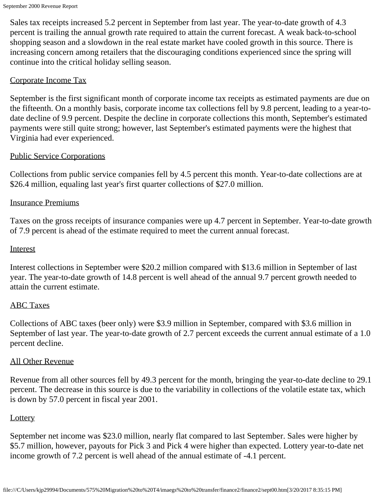Sales tax receipts increased 5.2 percent in September from last year. The year-to-date growth of 4.3 percent is trailing the annual growth rate required to attain the current forecast. A weak back-to-school shopping season and a slowdown in the real estate market have cooled growth in this source. There is increasing concern among retailers that the discouraging conditions experienced since the spring will continue into the critical holiday selling season.

#### Corporate Income Tax

September is the first significant month of corporate income tax receipts as estimated payments are due on the fifteenth. On a monthly basis, corporate income tax collections fell by 9.8 percent, leading to a year-todate decline of 9.9 percent. Despite the decline in corporate collections this month, September's estimated payments were still quite strong; however, last September's estimated payments were the highest that Virginia had ever experienced.

## Public Service Corporations

Collections from public service companies fell by 4.5 percent this month. Year-to-date collections are at \$26.4 million, equaling last year's first quarter collections of \$27.0 million.

## Insurance Premiums

Taxes on the gross receipts of insurance companies were up 4.7 percent in September. Year-to-date growth of 7.9 percent is ahead of the estimate required to meet the current annual forecast.

#### **Interest**

Interest collections in September were \$20.2 million compared with \$13.6 million in September of last year. The year-to-date growth of 14.8 percent is well ahead of the annual 9.7 percent growth needed to attain the current estimate.

#### ABC Taxes

Collections of ABC taxes (beer only) were \$3.9 million in September, compared with \$3.6 million in September of last year. The year-to-date growth of 2.7 percent exceeds the current annual estimate of a 1.0 percent decline.

#### All Other Revenue

Revenue from all other sources fell by 49.3 percent for the month, bringing the year-to-date decline to 29.1 percent. The decrease in this source is due to the variability in collections of the volatile estate tax, which is down by 57.0 percent in fiscal year 2001.

#### **Lottery**

September net income was \$23.0 million, nearly flat compared to last September. Sales were higher by \$5.7 million, however, payouts for Pick 3 and Pick 4 were higher than expected. Lottery year-to-date net income growth of 7.2 percent is well ahead of the annual estimate of -4.1 percent.